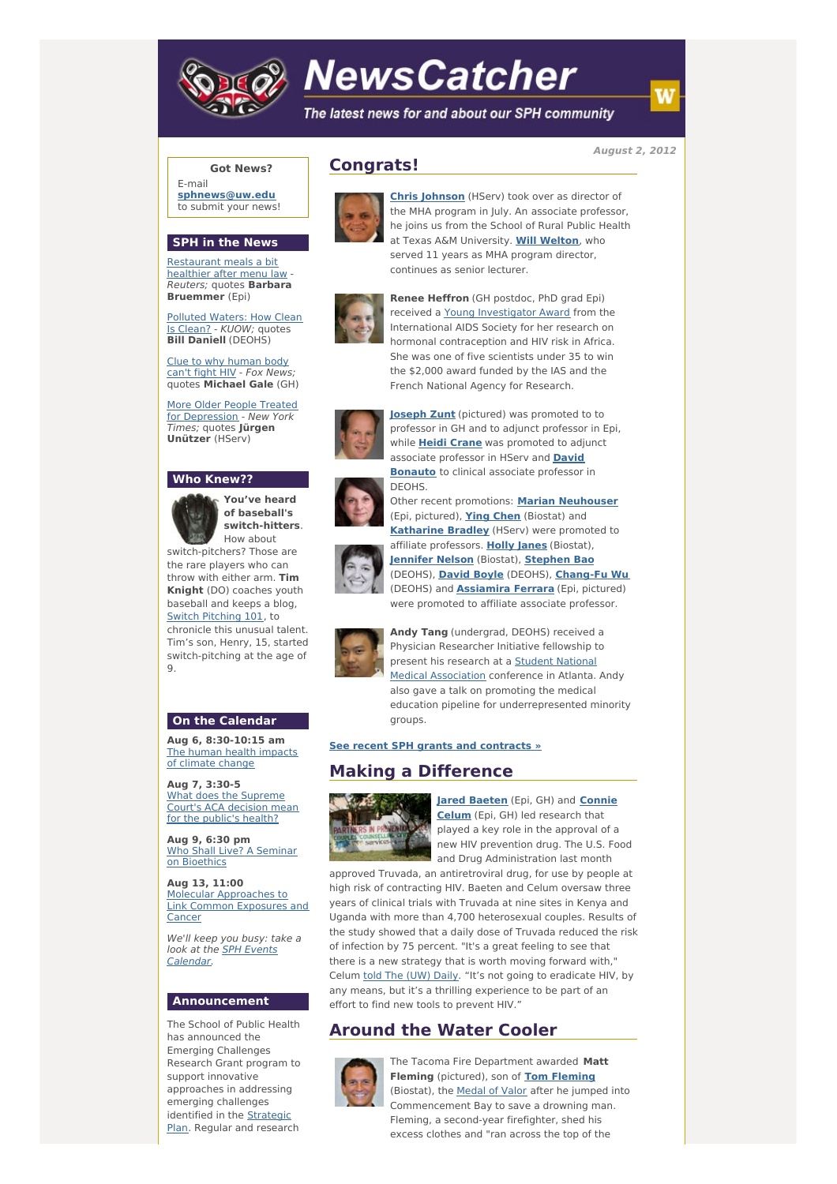

# **NewsCatcher**

The latest news for and about our SPH community

**August 2, 2012**

### **Got News?**

E-mail **[sphnews@uw.edu](mailto:sphnews@uw.edu)** to submit your news!

#### **SPH in the News**

[Restaurant](http://engage.washington.edu/site/R?i=whA_cMZcgDOFUcFKw-2TDw) meals a bit healthier after menu law - Reuters; quotes **Barbara Bruemmer** (Epi)

[Polluted](http://engage.washington.edu/site/R?i=J34LkgMnVWhWNtZoW99-3g) Waters: How Clean Is Clean? - KUOW; quotes **Bill Daniell** (DEOHS)

Clue to why [human](http://engage.washington.edu/site/R?i=yubmyhnzcO2m2Zck1fhBIQ) body can't fight HIV - Fox News; quotes **Michael Gale** (GH)

More Older People Treated for [Depression](http://engage.washington.edu/site/R?i=vy9diymzC6r_yXZrVPFC-g) - New York Times; quotes **Jürgen Unützer** (HServ)

#### **Who Knew??**



**You've heard of baseball's switch-hitters**. How about

switch-pitchers? Those are the rare players who can throw with either arm. **Tim Knight** (DO) coaches youth baseball and keeps a blog, Switch [Pitching](http://engage.washington.edu/site/R?i=fcAi1_37SY3mycuO9i-7pw) 101, to

chronicle this unusual talent. Tim's son, Henry, 15, started switch-pitching at the age of 9.

#### **On the Calendar**

**Aug 6, 8:30-10:15 am** The human health [impacts](http://engage.washington.edu/site/R?i=5KfQn-84Nc7c2SDroDZoSw) of climate change

**Aug 7, 3:30-5** What does the [Supreme](http://engage.washington.edu/site/R?i=Nk-MByGsiRiRUpou7yIarw) Court's ACA decision mean for the public's health?

**Aug 9, 6:30 pm** Who Shall Live? A Seminar on [Bioethics](http://engage.washington.edu/site/R?i=MuxJJVVtdNRXBRyv7y7tvQ)

**Aug 13, 11:00** Molecular [Approaches](http://engage.washington.edu/site/R?i=tDX39itMOz10M0Il5LkmYQ) to Link Common Exposures and Cancer

We'll keep you busy: take a look at the SPH Events [Calendar.](http://engage.washington.edu/site/R?i=fphul3Oe_K8vKY_etihYtw)

#### **Announcement**

The School of Public Health has announced the Emerging Challenges Research Grant program to support innovative approaches in addressing emerging challenges [identified](http://engage.washington.edu/site/R?i=1rgMYhLl2JGtqzETqGpbxw) in the **Strategic** Plan. Regular and research



**Congrats!**

**Chris [Johnson](http://engage.washington.edu/site/R?i=1DHAaLqGUolGd5lUSIZhxQ)** (HServ) took over as director of the MHA program in July. An associate professor, he joins us from the School of Rural Public Health at Texas A&M University. **Will [Welton](http://engage.washington.edu/site/R?i=nsMTaXYlm0dYTduWY78x6A)**, who served 11 years as MHA program director, continues as senior lecturer.



**Renee Heffron** (GH postdoc, PhD grad Epi) received a Young [Investigator](http://engage.washington.edu/site/R?i=kc8paYnJJe0PXuLvBtyy0w) Award from the International AIDS Society for her research on hormonal contraception and HIV risk in Africa. She was one of five scientists under 35 to win the \$2,000 award funded by the IAS and the French National Agency for Research.



**[Joseph](http://engage.washington.edu/site/R?i=ApEzs7jwRR_trajNvKeWfQ) Zunt** (pictured) was promoted to to professor in GH and to adjunct professor in Epi, while **Heidi [Crane](http://engage.washington.edu/site/R?i=c_O_4HbyO9pxYQUObMRYfA)** was promoted to adjunct [associate](http://engage.washington.edu/site/R?i=LpzYykQxx_ld-8SKeBB3pQ) professor in HServ and **David Bonauto** to clinical associate professor in DEOHS.

Other recent promotions: **Marian [Neuhouser](http://engage.washington.edu/site/R?i=1n_3oyHa1mjIOCjJp4ltTA)**





(Epi, pictured), **Ying [Chen](http://engage.washington.edu/site/R?i=Dg0SBm0dEKuAK-mi7l4Mew)** (Biostat) and **[Katharine](http://engage.washington.edu/site/R?i=dG2wuksWNITthJf_IwRWTg) Bradley** (HServ) were promoted to affiliate professors. **Holly [Janes](http://engage.washington.edu/site/R?i=2UUqpKTbDEGypO0p8xDjVw)** (Biostat), **[Jennifer](http://engage.washington.edu/site/R?i=goUabTOC8GGPjx7UVSewGQ) Nelson** (Biostat), **[Stephen](http://engage.washington.edu/site/R?i=Se3dyepqW_eBg5tgbflusw) Bao** (DEOHS), **[David](http://engage.washington.edu/site/R?i=0tSYjdxqSU0jI-3TLy_F4w) Boyle** (DEOHS), **[Chang-Fu](http://engage.washington.edu/site/R?i=v5sgzYUrQiP4P59R8CQUyQ) Wu** (DEOHS) and **[Assiamira](http://engage.washington.edu/site/R?i=nFbxSUkktUQ-n7sdTyOGYQ) Ferrara** (Epi, pictured) were promoted to affiliate associate professor.



**Andy Tang** (undergrad, DEOHS) received a Physician Researcher Initiative fellowship to present his research at a **Student National** Medical [Association](http://engage.washington.edu/site/R?i=U7DVkKYc5Hs-6cqXIC4QIA) conference in Atlanta. Andy also gave a talk on promoting the medical education pipeline for underrepresented minority groups.

**See recent SPH grants and [contracts](http://engage.washington.edu/site/R?i=Mot9XcJR-FCWvrE3uKhY5A) »**

# **Making a Difference**



**Jared [Baeten](http://engage.washington.edu/site/R?i=nBcuWjSNsPMmbMxv09r7Sg)** (Epi, GH) and **Connie Celum** (Epi, GH) led research that played a key role in the approval of a new HIV prevention drug. The U.S. Food and Drug Administration last month

approved Truvada, an antiretroviral drug, for use by people at high risk of contracting HIV. Baeten and Celum oversaw three years of clinical trials with Truvada at nine sites in Kenya and Uganda with more than 4,700 heterosexual couples. Results of the study showed that a daily dose of Truvada reduced the risk of infection by 75 percent. "It's a great feeling to see that there is a new strategy that is worth moving forward with," Celum told The [\(UW\)](http://engage.washington.edu/site/R?i=AGuPXh-KdGc1qwH6a9RR_A) Daily. "It's not going to eradicate HIV, by any means, but it's a thrilling experience to be part of an effort to find new tools to prevent HIV."

## **Around the Water Cooler**



The Tacoma Fire Department awarded **Matt Fleming** (pictured), son of **Tom [Fleming](http://engage.washington.edu/site/R?i=qH3qiY3WI5szOAjJ5acvBg)** (Biostat), the **[Medal](http://engage.washington.edu/site/R?i=oNtckIXyTlD_iifMiriqkA) of Valor** after he jumped into Commencement Bay to save a drowning man. Fleming, a second-year firefighter, shed his excess clothes and "ran across the top of the